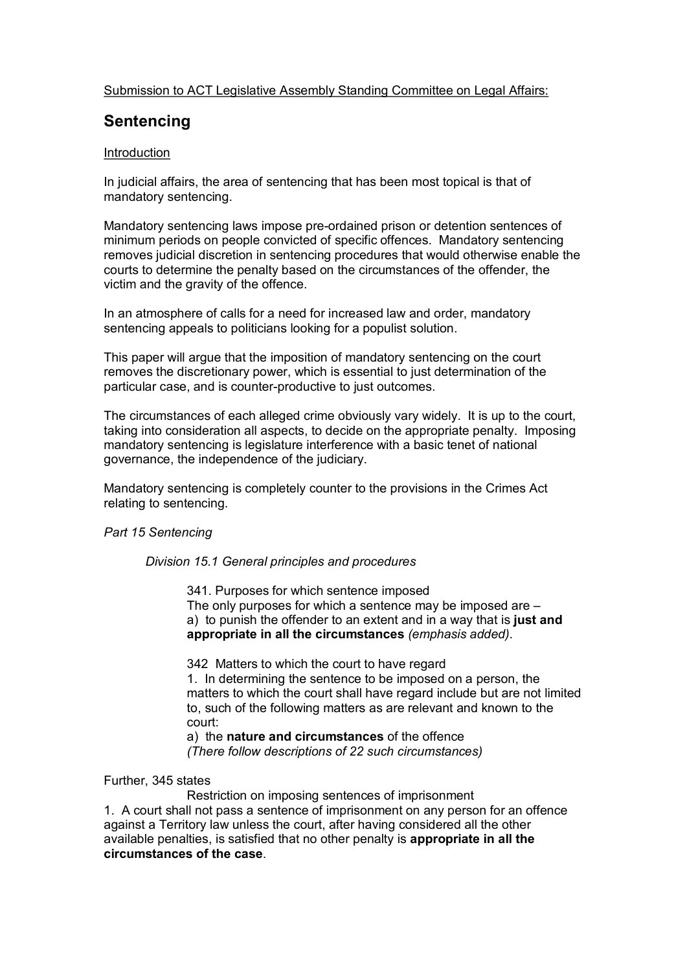## Submission to ACT Legislative Assembly Standing Committee on Legal Affairs:

# **Sentencing**

## Introduction

In judicial affairs, the area of sentencing that has been most topical is that of mandatory sentencing.

Mandatory sentencing laws impose pre-ordained prison or detention sentences of minimum periods on people convicted of specific offences. Mandatory sentencing removes judicial discretion in sentencing procedures that would otherwise enable the courts to determine the penalty based on the circumstances of the offender, the victim and the gravity of the offence.

In an atmosphere of calls for a need for increased law and order, mandatory sentencing appeals to politicians looking for a populist solution.

This paper will argue that the imposition of mandatory sentencing on the court removes the discretionary power, which is essential to just determination of the particular case, and is counter-productive to just outcomes.

The circumstances of each alleged crime obviously vary widely. It is up to the court, taking into consideration all aspects, to decide on the appropriate penalty. Imposing mandatory sentencing is legislature interference with a basic tenet of national governance, the independence of the judiciary.

Mandatory sentencing is completely counter to the provisions in the Crimes Act relating to sentencing.

#### *Part 15 Sentencing*

#### *Division 15.1 General principles and procedures*

341. Purposes for which sentence imposed The only purposes for which a sentence may be imposed are – a) to punish the offender to an extent and in a way that is **just and appropriate in all the circumstances** *(emphasis added)*.

342 Matters to which the court to have regard 1. In determining the sentence to be imposed on a person, the matters to which the court shall have regard include but are not limited to, such of the following matters as are relevant and known to the court:

a) the **nature and circumstances** of the offence *(There follow descriptions of 22 such circumstances)*

#### Further, 345 states

Restriction on imposing sentences of imprisonment 1. A court shall not pass a sentence of imprisonment on any person for an offence against a Territory law unless the court, after having considered all the other available penalties, is satisfied that no other penalty is **appropriate in all the circumstances of the case**.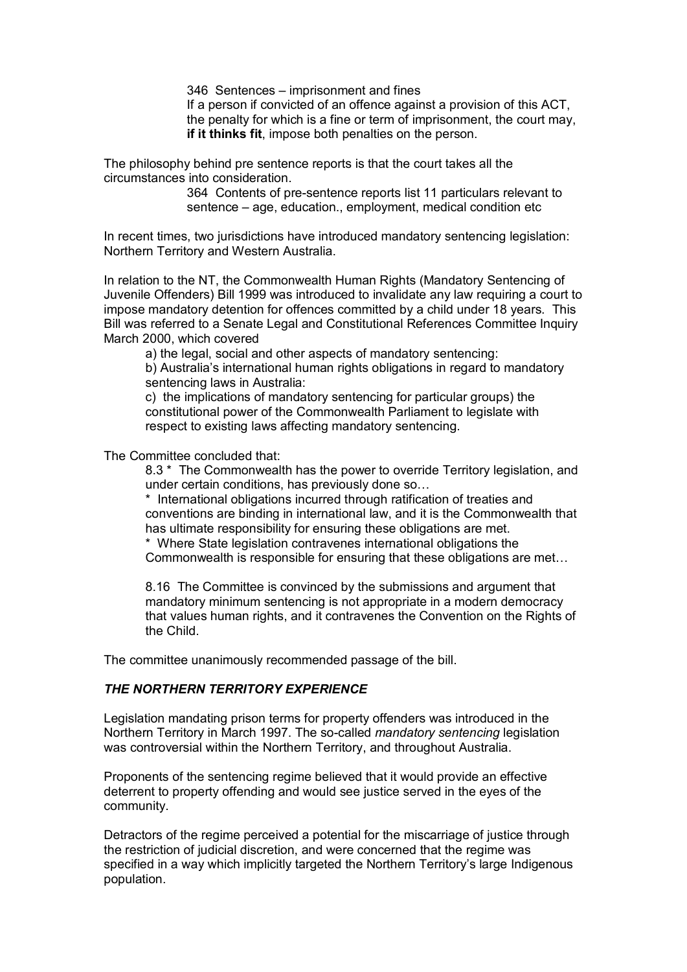346 Sentences – imprisonment and fines

If a person if convicted of an offence against a provision of this ACT, the penalty for which is a fine or term of imprisonment, the court may, **if it thinks fit**, impose both penalties on the person.

The philosophy behind pre sentence reports is that the court takes all the circumstances into consideration.

> 364 Contents of pre-sentence reports list 11 particulars relevant to sentence – age, education., employment, medical condition etc

In recent times, two jurisdictions have introduced mandatory sentencing legislation: Northern Territory and Western Australia.

In relation to the NT, the Commonwealth Human Rights (Mandatory Sentencing of Juvenile Offenders) Bill 1999 was introduced to invalidate any law requiring a court to impose mandatory detention for offences committed by a child under 18 years. This Bill was referred to a Senate Legal and Constitutional References Committee Inquiry March 2000, which covered

a) the legal, social and other aspects of mandatory sentencing: b) Australia's international human rights obligations in regard to mandatory sentencing laws in Australia:

c) the implications of mandatory sentencing for particular groups) the constitutional power of the Commonwealth Parliament to legislate with respect to existing laws affecting mandatory sentencing.

The Committee concluded that:

8.3 \* The Commonwealth has the power to override Territory legislation, and under certain conditions, has previously done so…

\* International obligations incurred through ratification of treaties and conventions are binding in international law, and it is the Commonwealth that has ultimate responsibility for ensuring these obligations are met.

\* Where State legislation contravenes international obligations the Commonwealth is responsible for ensuring that these obligations are met…

8.16 The Committee is convinced by the submissions and argument that mandatory minimum sentencing is not appropriate in a modern democracy that values human rights, and it contravenes the Convention on the Rights of the Child.

The committee unanimously recommended passage of the bill.

#### *THE NORTHERN TERRITORY EXPERIENCE*

Legislation mandating prison terms for property offenders was introduced in the Northern Territory in March 1997. The so-called *mandatory sentencing* legislation was controversial within the Northern Territory, and throughout Australia.

Proponents of the sentencing regime believed that it would provide an effective deterrent to property offending and would see justice served in the eyes of the community.

Detractors of the regime perceived a potential for the miscarriage of justice through the restriction of judicial discretion, and were concerned that the regime was specified in a way which implicitly targeted the Northern Territory's large Indigenous population.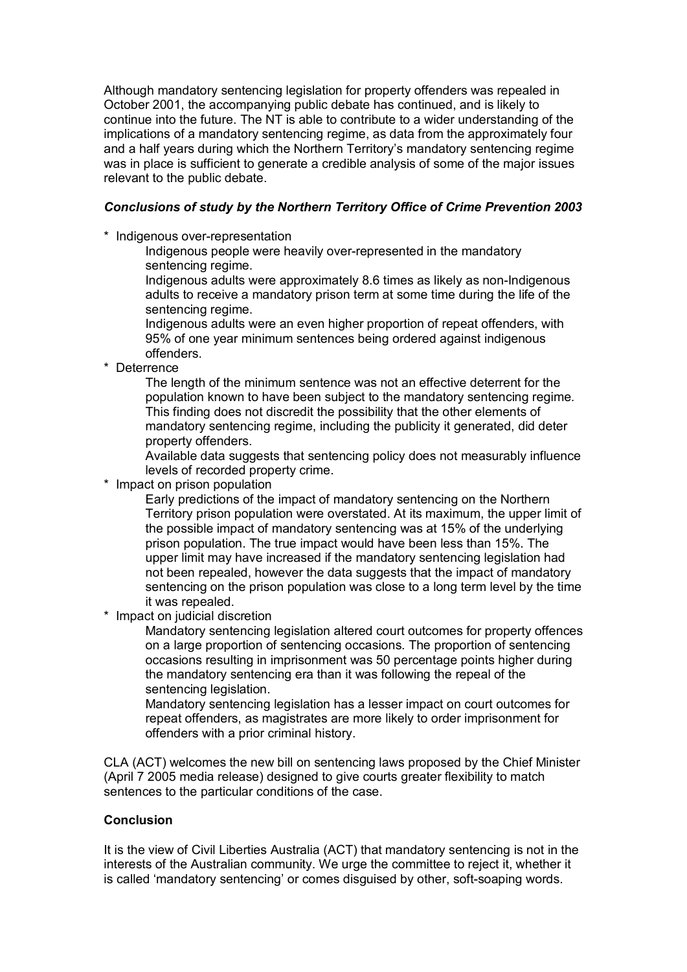Although mandatory sentencing legislation for property offenders was repealed in October 2001, the accompanying public debate has continued, and is likely to continue into the future. The NT is able to contribute to a wider understanding of the implications of a mandatory sentencing regime, as data from the approximately four and a half years during which the Northern Territory's mandatory sentencing regime was in place is sufficient to generate a credible analysis of some of the major issues relevant to the public debate.

# *Conclusions of study by the Northern Territory Office of Crime Prevention 2003*

\* Indigenous over-representation

Indigenous people were heavily over-represented in the mandatory sentencing regime.

Indigenous adults were approximately 8.6 times as likely as non-Indigenous adults to receive a mandatory prison term at some time during the life of the sentencing regime.

Indigenous adults were an even higher proportion of repeat offenders, with 95% of one year minimum sentences being ordered against indigenous offenders.

\* Deterrence

The length of the minimum sentence was not an effective deterrent for the population known to have been subject to the mandatory sentencing regime. This finding does not discredit the possibility that the other elements of mandatory sentencing regime, including the publicity it generated, did deter property offenders.

Available data suggests that sentencing policy does not measurably influence levels of recorded property crime.

\* Impact on prison population

Early predictions of the impact of mandatory sentencing on the Northern Territory prison population were overstated. At its maximum, the upper limit of the possible impact of mandatory sentencing was at 15% of the underlying prison population. The true impact would have been less than 15%. The upper limit may have increased if the mandatory sentencing legislation had not been repealed, however the data suggests that the impact of mandatory sentencing on the prison population was close to a long term level by the time it was repealed.

\* Impact on judicial discretion

Mandatory sentencing legislation altered court outcomes for property offences on a large proportion of sentencing occasions. The proportion of sentencing occasions resulting in imprisonment was 50 percentage points higher during the mandatory sentencing era than it was following the repeal of the sentencing legislation.

Mandatory sentencing legislation has a lesser impact on court outcomes for repeat offenders, as magistrates are more likely to order imprisonment for offenders with a prior criminal history.

CLA (ACT) welcomes the new bill on sentencing laws proposed by the Chief Minister (April 7 2005 media release) designed to give courts greater flexibility to match sentences to the particular conditions of the case.

# **Conclusion**

It is the view of Civil Liberties Australia (ACT) that mandatory sentencing is not in the interests of the Australian community. We urge the committee to reject it, whether it is called 'mandatory sentencing' or comes disguised by other, soft-soaping words.